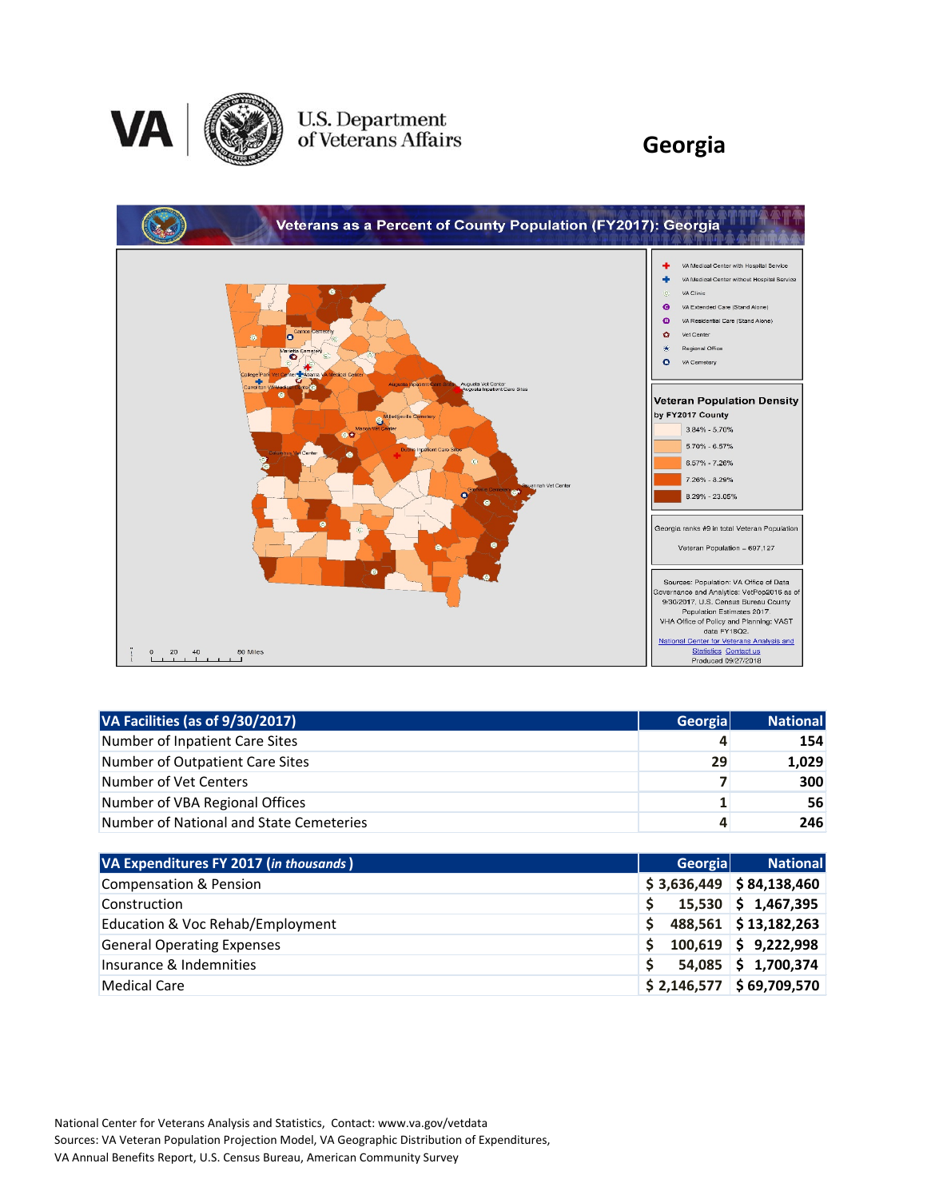

### U.S. Department<br>of Veterans Affairs

#### **Georgia**



| VA Facilities (as of 9/30/2017)         | <b>Georgia</b> | <b>National</b> |
|-----------------------------------------|----------------|-----------------|
| Number of Inpatient Care Sites          | 4              | 154             |
| Number of Outpatient Care Sites         | 29             | 1,029           |
| Number of Vet Centers                   |                | 300             |
| Number of VBA Regional Offices          |                | 56              |
| Number of National and State Cemeteries | 4              | 246             |

| VA Expenditures FY 2017 (in thousands) | Georgial | <b>National</b>            |
|----------------------------------------|----------|----------------------------|
| <b>Compensation &amp; Pension</b>      |          | $$3,636,449$ $$84,138,460$ |
| Construction                           |          | $15,530$ \$ 1,467,395      |
| Education & Voc Rehab/Employment       |          | 488,561 \$13,182,263       |
| <b>General Operating Expenses</b>      |          | $100,619$ \$ 9,222,998     |
| Insurance & Indemnities                |          | 54,085 \$1,700,374         |
| <b>Medical Care</b>                    |          | $$2,146,577$ $$69,709,570$ |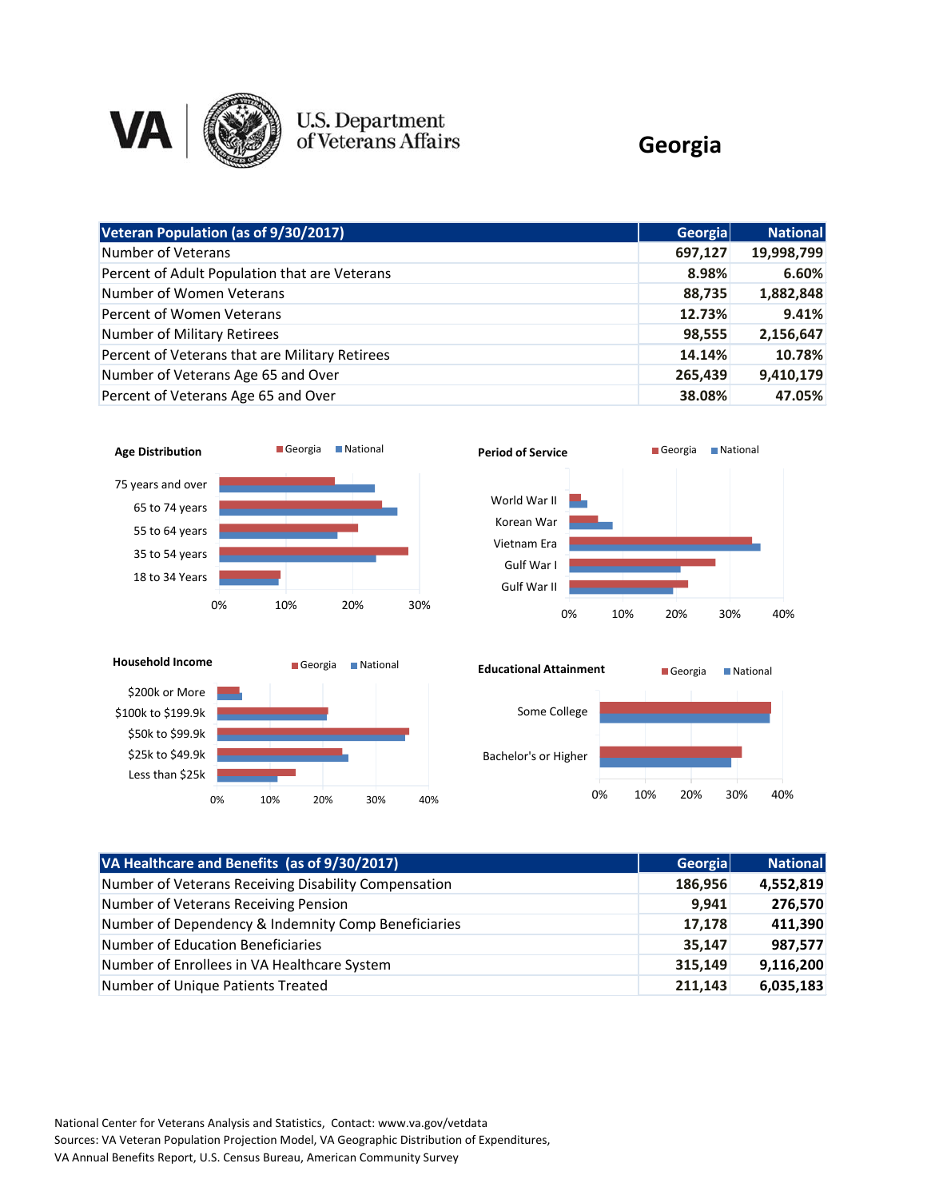

## U.S. Department<br>of Veterans Affairs

#### **Georgia**

| Veteran Population (as of 9/30/2017)           | <b>Georgia</b> | <b>National</b> |
|------------------------------------------------|----------------|-----------------|
| Number of Veterans                             | 697,127        | 19,998,799      |
| Percent of Adult Population that are Veterans  | 8.98%          | 6.60%           |
| Number of Women Veterans                       | 88,735         | 1,882,848       |
| Percent of Women Veterans                      | 12.73%         | 9.41%           |
| <b>Number of Military Retirees</b>             | 98,555         | 2,156,647       |
| Percent of Veterans that are Military Retirees | 14.14%         | 10.78%          |
| Number of Veterans Age 65 and Over             | 265,439        | 9,410,179       |
| Percent of Veterans Age 65 and Over            | 38.08%         | 47.05%          |









| VA Healthcare and Benefits (as of 9/30/2017)         | Georgia | <b>National</b> |
|------------------------------------------------------|---------|-----------------|
| Number of Veterans Receiving Disability Compensation | 186,956 | 4,552,819       |
| Number of Veterans Receiving Pension                 | 9,941   | 276,570         |
| Number of Dependency & Indemnity Comp Beneficiaries  | 17,178  | 411,390         |
| Number of Education Beneficiaries                    | 35,147  | 987,577         |
| Number of Enrollees in VA Healthcare System          | 315,149 | 9,116,200       |
| Number of Unique Patients Treated                    | 211,143 | 6,035,183       |